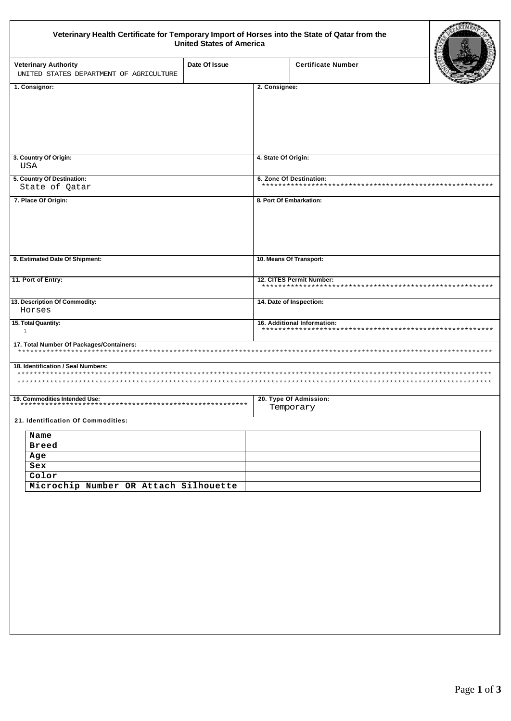## Veterinary Health Certificate for Temporary Import of Horses into the State of Qatar from the<br>United States of America

| Veterinary Health Certificate for Temporary Import of Horses into the State of Qatar from the | <b>United States of America</b> |                         |                                                               |  |
|-----------------------------------------------------------------------------------------------|---------------------------------|-------------------------|---------------------------------------------------------------|--|
| <b>Veterinary Authority</b><br>UNITED STATES DEPARTMENT OF AGRICULTURE                        | Date Of Issue                   |                         | <b>Certificate Number</b>                                     |  |
| 1. Consignor:                                                                                 |                                 | 2. Consignee:           |                                                               |  |
|                                                                                               |                                 |                         |                                                               |  |
| 3. Country Of Origin:                                                                         |                                 | 4. State Of Origin:     |                                                               |  |
| USA                                                                                           |                                 |                         |                                                               |  |
| 5. Country Of Destination:<br>State of Qatar                                                  |                                 | 6. Zone Of Destination: |                                                               |  |
| 7. Place Of Origin:                                                                           |                                 |                         | 8. Port Of Embarkation:                                       |  |
| 9. Estimated Date Of Shipment:                                                                |                                 |                         | 10. Means Of Transport:                                       |  |
| 11. Port of Entry:                                                                            |                                 |                         | 12. CITES Permit Number:<br>********************************* |  |
| 13. Description Of Commodity:<br>Horses                                                       |                                 |                         | 14. Date of Inspection:                                       |  |
| 15. Total Quantity:<br>$\mathbf{1}$                                                           |                                 |                         | 16. Additional Information:                                   |  |
| 17. Total Number Of Packages/Containers:<br>******************************                    |                                 |                         |                                                               |  |
| 18. Identification / Seal Numbers:<br>*****************                                       |                                 |                         |                                                               |  |
| 19. Commodities Intended Use:<br>************************                                     |                                 |                         | 20. Type Of Admission:<br>Temporary                           |  |
| 21. Identification Of Commodities:                                                            |                                 |                         |                                                               |  |
| Name<br><b>Breed</b><br>Age                                                                   |                                 |                         |                                                               |  |
| Sex                                                                                           |                                 |                         |                                                               |  |
| Color                                                                                         |                                 |                         |                                                               |  |
| Microchip Number OR Attach Silhouette                                                         |                                 |                         |                                                               |  |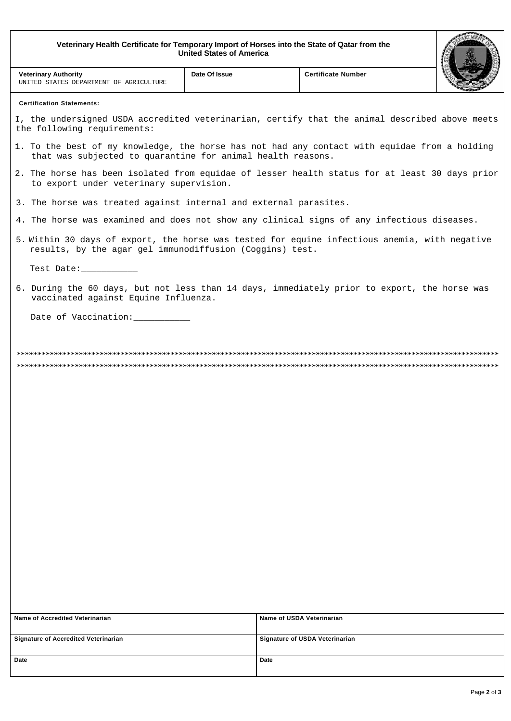Veterinary Health Certificate for Temporary Import of Horses into the State of Qatar from the<br>United States of America

| veterinary Health Certificate for Temporary import of Horses into the State of Qatar from the<br><b>United States of America</b>                             |               |                                       |  |  |
|--------------------------------------------------------------------------------------------------------------------------------------------------------------|---------------|---------------------------------------|--|--|
| <b>Veterinary Authority</b><br>UNITED STATES DEPARTMENT OF AGRICULTURE                                                                                       | Date Of Issue | <b>Certificate Number</b>             |  |  |
| <b>Certification Statements:</b>                                                                                                                             |               |                                       |  |  |
| I, the undersigned USDA accredited veterinarian, certify that the animal described above meets<br>the following requirements:                                |               |                                       |  |  |
| 1. To the best of my knowledge, the horse has not had any contact with equidae from a holding<br>that was subjected to quarantine for animal health reasons. |               |                                       |  |  |
| 2. The horse has been isolated from equidae of lesser health status for at least 30 days prior<br>to export under veterinary supervision.                    |               |                                       |  |  |
| 3. The horse was treated against internal and external parasites.                                                                                            |               |                                       |  |  |
| 4. The horse was examined and does not show any clinical signs of any infectious diseases.                                                                   |               |                                       |  |  |
| 5. Within 30 days of export, the horse was tested for equine infectious anemia, with negative<br>results, by the agar gel immunodiffusion (Coggins) test.    |               |                                       |  |  |
| Test Date:                                                                                                                                                   |               |                                       |  |  |
| 6. During the 60 days, but not less than 14 days, immediately prior to export, the horse was<br>vaccinated against Equine Influenza.                         |               |                                       |  |  |
| Date of Vaccination: ___________                                                                                                                             |               |                                       |  |  |
|                                                                                                                                                              |               |                                       |  |  |
| Name of Accredited Veterinarian                                                                                                                              |               | Name of USDA Veterinarian             |  |  |
| <b>Signature of Accredited Veterinarian</b>                                                                                                                  |               | <b>Signature of USDA Veterinarian</b> |  |  |
| Date                                                                                                                                                         | Date          |                                       |  |  |
|                                                                                                                                                              |               |                                       |  |  |

ARTMENS